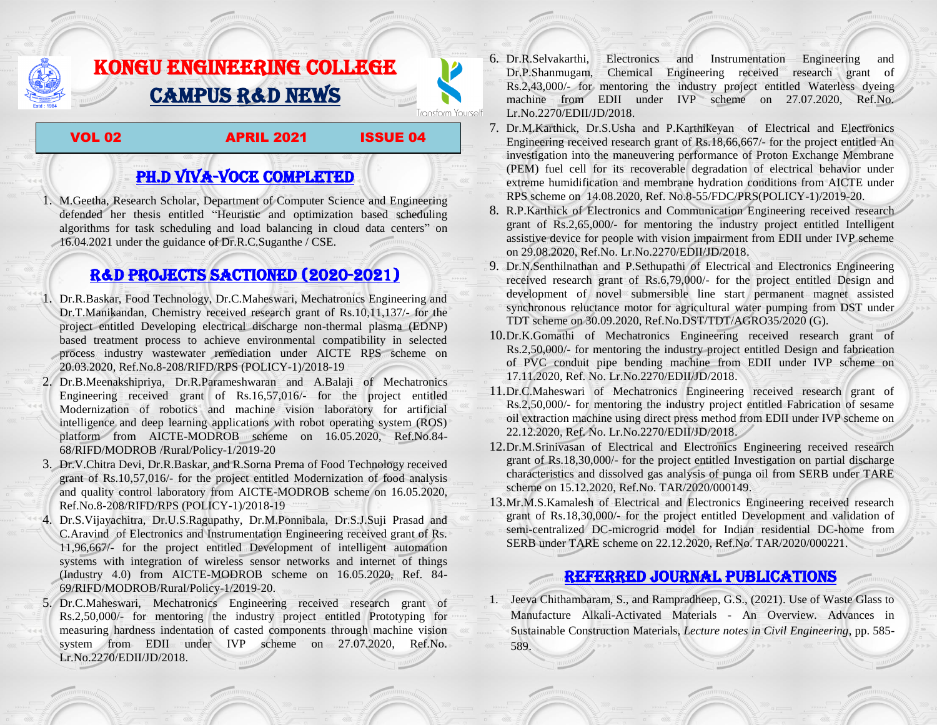## KONGU ENGINEERING COLLEGE CAMPUS R&D NEWS

VOL 02 APRIL 2021 ISSUE 04

**Transform Yourself** 

PH.D VIVA-VOCE COMPLETED

1. M.Geetha, Research Scholar, Department of Computer Science and Engineering defended her thesis entitled "Heuristic and optimization based scheduling algorithms for task scheduling and load balancing in cloud data centers" on 16.04.2021 under the guidance of Dr.R.C.Suganthe / CSE.

## R&D PROJECTS SACTIONED (2020-2021)

- 1. Dr.R.Baskar, Food Technology, Dr.C.Maheswari, Mechatronics Engineering and Dr.T.Manikandan, Chemistry received research grant of Rs.10,11,137/- for the project entitled Developing electrical discharge non-thermal plasma (EDNP) based treatment process to achieve environmental compatibility in selected process industry wastewater remediation under AICTE RPS scheme on 20.03.2020, Ref.No.8-208/RIFD/RPS (POLICY-1)/2018-19
- 2. Dr.B.Meenakshipriya, Dr.R.Parameshwaran and A.Balaji of Mechatronics Engineering received grant of Rs.16,57,016/- for the project entitled Modernization of [robotics and machine vision laboratory for artificial](http://rnd.kongu.edu/ractivities/mts/data/)  [intelligence and deep learning applications with robot operating system \(ROS\)](http://rnd.kongu.edu/ractivities/mts/data/)  [platform](http://rnd.kongu.edu/ractivities/mts/data/) from AICTE-MODROB scheme on 16.05.2020, Ref.No.84- 68/RIFD/MODROB /Rural/Policy-1/2019-20
- 3. Dr.V.Chitra Devi, Dr.R.Baskar, and R.Sorna Prema of Food Technology received grant of Rs.10,57,016/- for the project entitled Modernization of food analysis and quality control laboratory from AICTE-MODROB scheme on 16.05.2020, Ref.No.8-208/RIFD/RPS (POLICY-1)/2018-19
- 4. Dr.S.Vijayachitra, Dr.U.S.Ragupathy, Dr.M.Ponnibala, Dr.S.J.Suji Prasad and C.Aravind of Electronics and Instrumentation Engineering received grant of Rs. 11,96,667/- for the project entitled Development of intelligent automation systems with integration of wireless sensor networks and internet of things (Industry 4.0) from AICTE-MODROB scheme on 16.05.2020, Ref. 84- 69/RIFD/MODROB/Rural/Policy-1/2019-20.
- 5. Dr.C.Maheswari, Mechatronics Engineering received research grant of Rs.2,50,000/- for mentoring the industry project entitled [Prototyping for](http://rnd.kongu.edu/ractivities/mts/data/)  [measuring hardness indentation of casted components through machine vision](http://rnd.kongu.edu/ractivities/mts/data/)  [system](http://rnd.kongu.edu/ractivities/mts/data/) from EDII under IVP scheme on 27.07.2020, Ref.No. Lr.No.2270/EDII/JD/2018.
- 6. Dr.R.Selvakarthi, Electronics and Instrumentation Engineering and Dr.P.Shanmugam, Chemical Engineering received research grant of Rs.2,43,000/- for mentoring the industry project entitled Waterless dyeing machine from EDII under IVP scheme on 27.07.2020, Ref.No. Lr.No.2270/EDII/JD/2018.
- 7. Dr.M.Karthick, Dr.S.Usha and P.Karthikeyan of Electrical and Electronics Engineering received research grant of Rs.18,66,667/- for the project entitled An investigation into the maneuvering performance of Proton Exchange Membrane (PEM) fuel cell for its recoverable degradation of electrical behavior under extreme humidification and membrane hydration conditions from AICTE under RPS scheme on 14.08.2020, Ref. No.8-55/FDC/PRS(POLICY-1)/2019-20.
- 8. R.P.Karthick of Electronics and Communication Engineering received research grant of Rs.2,65,000/- for mentoring the industry project entitled Intelligent assistive device for people with vision impairment from EDII under IVP scheme on 29.08.2020, Ref.No. Lr.No.2270/EDII/JD/2018.
- 9. Dr.N.Senthilnathan and P.Sethupathi of Electrical and Electronics Engineering received research grant of Rs.6,79,000/- for the project entitled Design and development of novel submersible line start permanent magnet assisted synchronous reluctance motor for agricultural water pumping from DST under TDT scheme on 30.09.2020, Ref.No.DST/TDT/AGRO35/2020 (G).
- 10.Dr.K.Gomathi of Mechatronics Engineering received research grant of Rs.2,50,000/- for mentoring the industry project entitled Design and fabrication of PVC conduit pipe bending machine from EDII under IVP scheme on 17.11.2020, Ref. No. Lr.No.2270/EDII/JD/2018.
- 11.Dr.C.Maheswari of Mechatronics Engineering received research grant of Rs.2,50,000/- for mentoring the industry project entitled Fabrication of sesame oil extraction machine using direct press method from EDII under IVP scheme on 22.12.2020, Ref. No. Lr.No.2270/EDII/JD/2018.
- 12.Dr.M.Srinivasan of Electrical and Electronics Engineering received research grant of Rs.18,30,000/- for the project entitled Investigation on partial discharge characteristics and dissolved gas analysis of punga oil from SERB under TARE scheme on 15.12.2020, Ref.No. TAR/2020/000149.
- 13.Mr.M.S.Kamalesh of Electrical and Electronics Engineering received research grant of Rs.18,30,000/- for the project entitled Development and validation of semi-centralized DC-microgrid model for Indian residential DC-home from SERB under TARE scheme on 22.12.2020, Ref.No. TAR/2020/000221.

## Referred JOURNAL publications

1. Jeeva Chithambaram, S., and Rampradheep, G.S., (2021). Use of Waste Glass to Manufacture Alkali-Activated Materials - An Overview. Advances in Sustainable Construction Materials, *Lecture notes in Civil Engineering*, pp. 585- 589.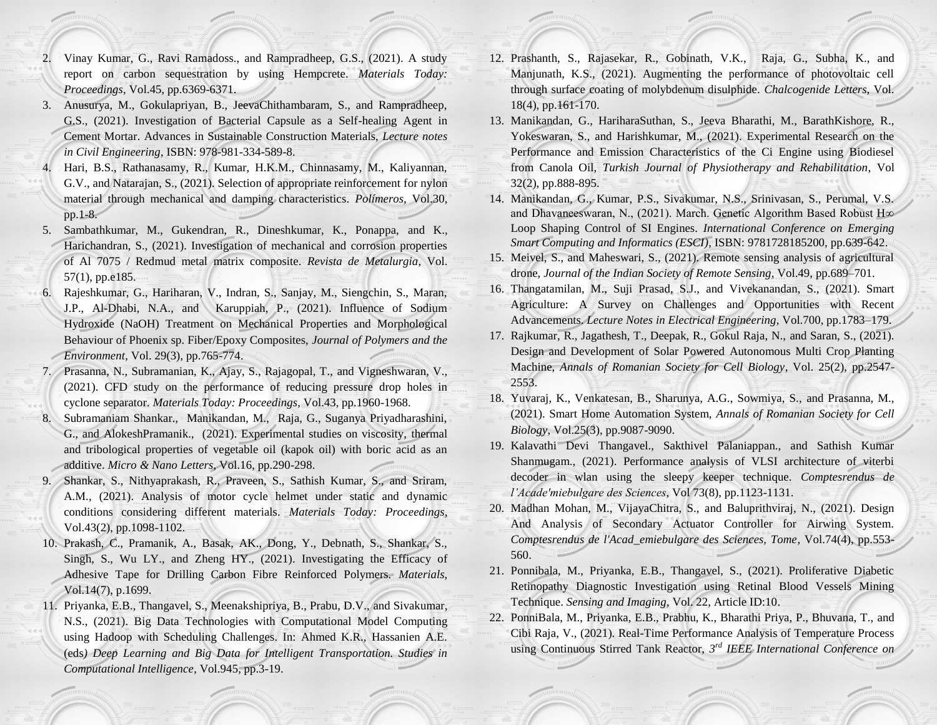- 2. Vinay Kumar, G., Ravi Ramadoss., and Rampradheep, G.S., (2021). A study report on carbon sequestration by using Hempcrete. *Materials Today: Proceedings*, Vol.45, pp.6369-6371.
- 3. Anusurya, M., Gokulapriyan, B., JeevaChithambaram, S., and Rampradheep, G.S., (2021). Investigation of Bacterial Capsule as a Self-healing Agent in Cement Mortar. Advances in Sustainable Construction Materials, *Lecture notes in Civil Engineering*, ISBN: 978-981-334-589-8.
- 4. Hari, B.S., Rathanasamy, R., Kumar, H.K.M., Chinnasamy, M., Kaliyannan, G.V., and Natarajan, S., (2021). Selection of appropriate reinforcement for nylon material through mechanical and damping characteristics. *Polímeros,* Vol.30, pp.1-8.
- 5. Sambathkumar, M., Gukendran, R., Dineshkumar, K., Ponappa, and K., Harichandran, S., (2021). Investigation of mechanical and corrosion properties of Al 7075 / Redmud metal matrix composite. *Revista de Metalurgia*, Vol. 57(1), pp.e185.
- 6. Rajeshkumar, G., Hariharan, V., Indran, S., Sanjay, M., Siengchin, S., Maran, J.P., Al-Dhabi, N.A., and Karuppiah, P., (2021). Influence of Sodium Hydroxide (NaOH) Treatment on Mechanical Properties and Morphological Behaviour of Phoenix sp. Fiber/Epoxy Composites, *Journal of Polymers and the Environment*, Vol. 29(3), pp.765-774.
- 7. Prasanna, N., Subramanian, K., Ajay, S., Rajagopal, T., and Vigneshwaran, V., (2021). CFD study on the performance of reducing pressure drop holes in cyclone separator. *Materials Today: Proceedings*, Vol.43, pp.1960-1968.
- 8. Subramaniam Shankar., Manikandan, M., Raja, G., Suganya Priyadharashini, G., and AlokeshPramanik., (2021). Experimental studies on viscosity, thermal and tribological properties of vegetable oil (kapok oil) with boric acid as an additive. *Micro & Nano Letters*, Vol.16, pp.290-298.
- 9. Shankar, S., Nithyaprakash, R., Praveen, S., Sathish Kumar, S., and Sriram, A.M., (2021). Analysis of motor cycle helmet under static and dynamic conditions considering different materials. *Materials Today: Proceedings*, Vol.43(2), pp.1098-1102.
- 10. Prakash, C., Pramanik, A., Basak, AK., Dong, Y., Debnath, S., Shankar, S., Singh, S., Wu LY., and Zheng HY., (2021). Investigating the Efficacy of Adhesive Tape for Drilling Carbon Fibre Reinforced Polymers. *Materials*, Vol.14(7), p.1699.
- 11. Priyanka, E.B., Thangavel, S., Meenakshipriya, B., Prabu, D.V., and Sivakumar, N.S., (2021). Big Data Technologies with Computational Model Computing using Hadoop with Scheduling Challenges. In: Ahmed K.R., Hassanien A.E. (eds*) Deep Learning and Big Data for Intelligent Transportation. Studies in Computational Intelligence*, Vol.945, pp.3-19.
- 12. Prashanth, S., Rajasekar, R., Gobinath, V.K., Raja, G., Subha, K., and Manjunath, K.S., (2021). Augmenting the performance of photovoltaic cell through surface coating of molybdenum disulphide. *Chalcogenide Letters*, Vol. 18(4), pp.161-170.
- 13. Manikandan, G., HariharaSuthan, S., Jeeva Bharathi, M., BarathKishore, R., Yokeswaran, S., and Harishkumar, M., (2021). Experimental Research on the Performance and Emission Characteristics of the Ci Engine using Biodiesel from Canola Oil, *Turkish Journal of Physiotherapy and Rehabilitation*, Vol 32(2), pp.888-895.
- 14. Manikandan, G., Kumar, P.S., Sivakumar, N.S., Srinivasan, S., Perumal, V.S. and Dhavaneeswaran, N., (2021). March. Genetic Algorithm Based Robust H∞ Loop Shaping Control of SI Engines. *International Conference on Emerging Smart Computing and Informatics (ESCI),* ISBN: 9781728185200, pp.639-642.
- 15. Meivel, S., and Maheswari, S., (2021). Remote sensing analysis of agricultural drone, *Journal of the Indian Society of Remote Sensing*, Vol.49, pp.689–701.
- 16. Thangatamilan, M., Suji Prasad, S.J., and Vivekanandan, S., (2021). Smart Agriculture: A Survey on Challenges and Opportunities with Recent Advancements. *Lecture Notes in Electrical Engineering*, Vol.700, pp.1783–179.
- 17. Rajkumar, R., Jagathesh, T., Deepak, R., Gokul Raja, N., and Saran, S., (2021). Design and Development of Solar Powered Autonomous Multi Crop Planting Machine, *Annals of Romanian Society for Cell Biology*, Vol. 25(2), pp.2547- 2553.
- 18. Yuvaraj, K., Venkatesan, B., Sharunya, A.G., Sowmiya, S., and Prasanna, M., (2021). Smart Home Automation System, *Annals of Romanian Society for Cell Biology*, Vol.25(3), pp.9087-9090.
- 19. Kalavathi Devi Thangavel., Sakthivel Palaniappan., and Sathish Kumar Shanmugam., (2021). Performance analysis of VLSI architecture of viterbi decoder in wlan using the sleepy keeper technique. *Comptesrendus de l'Acade'miebulgare des Sciences*, Vol 73(8), pp.1123-1131.
- 20. Madhan Mohan, M., VijayaChitra, S., and Baluprithviraj, N., (2021). Design And Analysis of Secondary Actuator Controller for Airwing System. *Comptesrendus de l'Acad\_emiebulgare des Sciences, Tome*, Vol.74(4), pp.553- 560.
- 21. Ponnibala, M., Priyanka, E.B., Thangavel, S., (2021). Proliferative Diabetic Retinopathy Diagnostic Investigation using Retinal Blood Vessels Mining Technique. *Sensing and Imaging,* Vol. 22, Article ID:10.
- 22. PonniBala, M., Priyanka, E.B., Prabhu, K., Bharathi Priya, P., Bhuvana, T., and Cibi Raja, V., (2021). Real-Time Performance Analysis of Temperature Process using Continuous Stirred Tank Reactor, *3 rd IEEE International Conference on*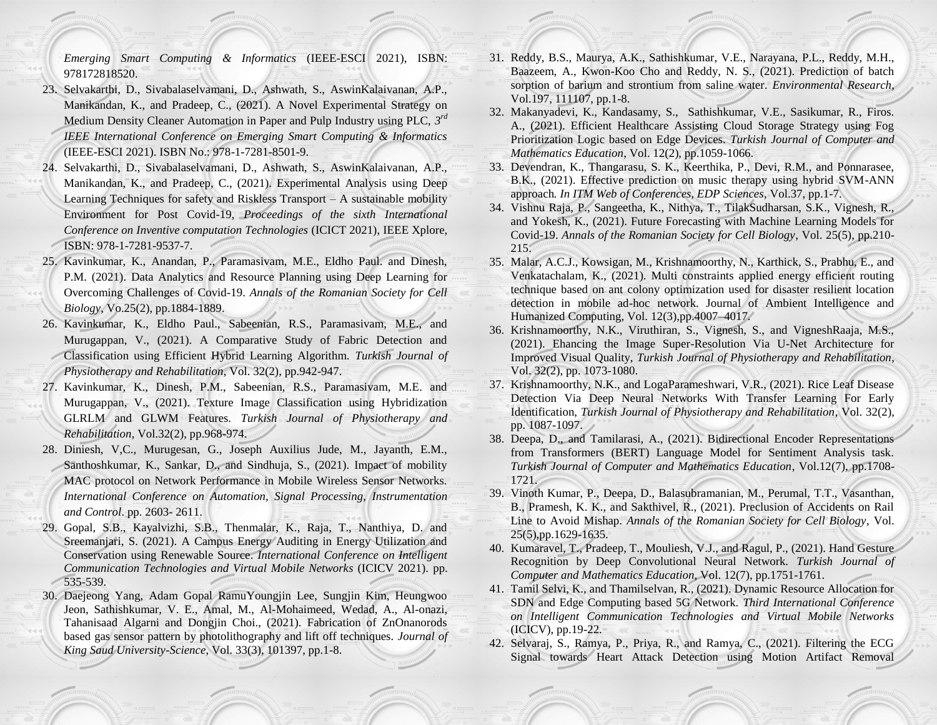*Emerging Smart Computing & Informatics* (IEEE-ESCI 2021), ISBN: 978172818520.

- 23. Selvakarthi, D., Sivabalaselvamani, D., Ashwath, S., AswinKalaivanan, A.P., Manikandan, K., and Pradeep, C., (2021). A Novel Experimental Strategy on Medium Density Cleaner Automation in Paper and Pulp Industry using PLC, *3 rd IEEE International Conference on Emerging Smart Computing & Informatics* (IEEE-ESCI 2021). ISBN No.: 978-1-7281-8501-9.
- 24. Selvakarthi, D., Sivabalaselvamani, D., Ashwath, S., AswinKalaivanan, A.P., Manikandan, K., and Pradeep, C., (2021). Experimental Analysis using Deep Learning Techniques for safety and Riskless Transport – A sustainable mobility Environment for Post Covid-19, *Proceedings of the sixth International Conference on Inventive computation Technologies* (ICICT 2021), IEEE Xplore, ISBN: 978-1-7281-9537-7.
- 25. Kavinkumar, K., Anandan, P., Paramasivam, M.E., Eldho Paul. and Dinesh, P.M. (2021). Data Analytics and Resource Planning using Deep Learning for Overcoming Challenges of Covid-19. *Annals of the Romanian Society for Cell Biology*, Vo.25(2), pp.1884-1889.
- 26. Kavinkumar, K., Eldho Paul., Sabeenian, R.S., Paramasivam, M.E., and Murugappan, V., (2021). A Comparative Study of Fabric Detection and Classification using Efficient Hybrid Learning Algorithm. *Turkish Journal of Physiotherapy and Rehabilitation*, Vol. 32(2), pp.942-947.
- 27. Kavinkumar, K., Dinesh, P.M., Sabeenian, R.S., Paramasivam, M.E. and Murugappan, V., (2021). Texture Image Classification using Hybridization GLRLM and GLWM Features. *Turkish Journal of Physiotherapy and Rehabilitation*, Vol.32(2), pp.968-974.
- 28. Diniesh, V,C., Murugesan, G., Joseph Auxilius Jude, M., Jayanth, E.M., Santhoshkumar, K., Sankar, D., and Sindhuja, S., (2021). Impact of mobility MAC protocol on Network Performance in Mobile Wireless Sensor Networks. *International Conference on Automation, Signal Processing, Instrumentation and Control*. pp. 2603- 2611.
- 29. Gopal, S.B., Kayalvizhi, S.B., Thenmalar, K., Raja, T., Nanthiya, D. and Sreemanjari, S. (2021). A Campus Energy Auditing in Energy Utilization and Conservation using Renewable Source. *International Conference on Intelligent Communication Technologies and Virtual Mobile Networks* (ICICV 2021). pp. 535-539.
- 30. Daejeong Yang, Adam Gopal RamuYoungjin Lee, Sungjin Kim, Heungwoo Jeon, Sathishkumar, V. E., Amal, M., Al-Mohaimeed, Wedad, A., Al-onazi, Tahanisaad Algarni and Dongjin Choi., (2021). Fabrication of ZnOnanorods based gas sensor pattern by photolithography and lift off techniques. *Journal of King Saud University-Science*, Vol. 33(3), 101397, pp.1-8.
- 31. Reddy, B.S., Maurya, A.K., Sathishkumar, V.E., Narayana, P.L., Reddy, M.H., Baazeem, A., Kwon-Koo Cho and Reddy, N. S., (2021). Prediction of batch sorption of barium and strontium from saline water. *Environmental Research*, Vol.197, 111107, pp.1-8.
- 32. Makanyadevi, K., Kandasamy, S., Sathishkumar, V.E., Sasikumar, R., Firos. A., (2021). Efficient Healthcare Assisting Cloud Storage Strategy using Fog Prioritization Logic based on Edge Devices. *Turkish Journal of Computer and Mathematics Education*, Vol. 12(2), pp.1059-1066.
- 33. Devendran, K., Thangarasu, S. K., Keerthika, P., Devi, R.M., and Ponnarasee, B.K., (2021). Effective prediction on music therapy using hybrid SVM-ANN approach*. In ITM Web of Conferences, EDP Sciences*, Vol.37, pp.1-7.
- 34. Vishnu Raja, P., Sangeetha, K., Nithya, T., TilakSudharsan, S.K., Vignesh, R., and Yokesh, K., (2021). Future Forecasting with Machine Learning Models for Covid-19. *Annals of the Romanian Society for Cell Biology*, Vol. 25(5), pp.210- 215.
- 35. Malar, A.C.J., Kowsigan, M., Krishnamoorthy, N., Karthick, S., Prabhu, E., and Venkatachalam, K., (2021). Multi constraints applied energy efficient routing technique based on ant colony optimization used for disaster resilient location detection in mobile ad-hoc network. Journal of Ambient Intelligence and Humanized Computing, Vol. 12(3),pp.4007–4017.
- 36. Krishnamoorthy, N.K., Viruthiran, S., Vignesh, S., and VigneshRaaja, M.S., (2021). Ehancing the Image Super-Resolution Via U-Net Architecture for Improved Visual Quality, *Turkish Journal of Physiotherapy and Rehabilitation*, Vol. 32(2), pp. 1073-1080.
- 37. Krishnamoorthy, N.K., and LogaParameshwari, V.R., (2021). Rice Leaf Disease Detection Via Deep Neural Networks With Transfer Learning For Early Identification, *Turkish Journal of Physiotherapy and Rehabilitation*, Vol. 32(2), pp. 1087-1097.
- 38. Deepa, D., and Tamilarasi, A., (2021). Bidirectional Encoder Representations from Transformers (BERT) Language Model for Sentiment Analysis task. *Turkish Journal of Computer and Mathematics Education*, Vol.12(7), pp.1708- 1721.
- 39. Vinoth Kumar, P., Deepa, D., Balasubramanian, M., Perumal, T.T., Vasanthan, B., Pramesh, K. K., and Sakthivel, R., (2021). Preclusion of Accidents on Rail Line to Avoid Mishap. *Annals of the Romanian Society for Cell Biology*, Vol. 25(5),pp.1629-1635.
- 40. Kumaravel, T., Pradeep, T., Mouliesh, V.J., and Ragul, P., (2021). Hand Gesture Recognition by Deep Convolutional Neural Network. *Turkish Journal of Computer and Mathematics Education*, Vol. 12(7), pp.1751-1761.
- 41. Tamil Selvi, K., and Thamilselvan, R., (2021). Dynamic Resource Allocation for SDN and Edge Computing based 5G Network. *Third International Conference on Intelligent Communication Technologies and Virtual Mobile Networks* (ICICV), pp.19-22.
- 42. Selvaraj, S., Ramya, P., Priya, R., and Ramya, C., (2021). Filtering the ECG Signal towards Heart Attack Detection using Motion Artifact Removal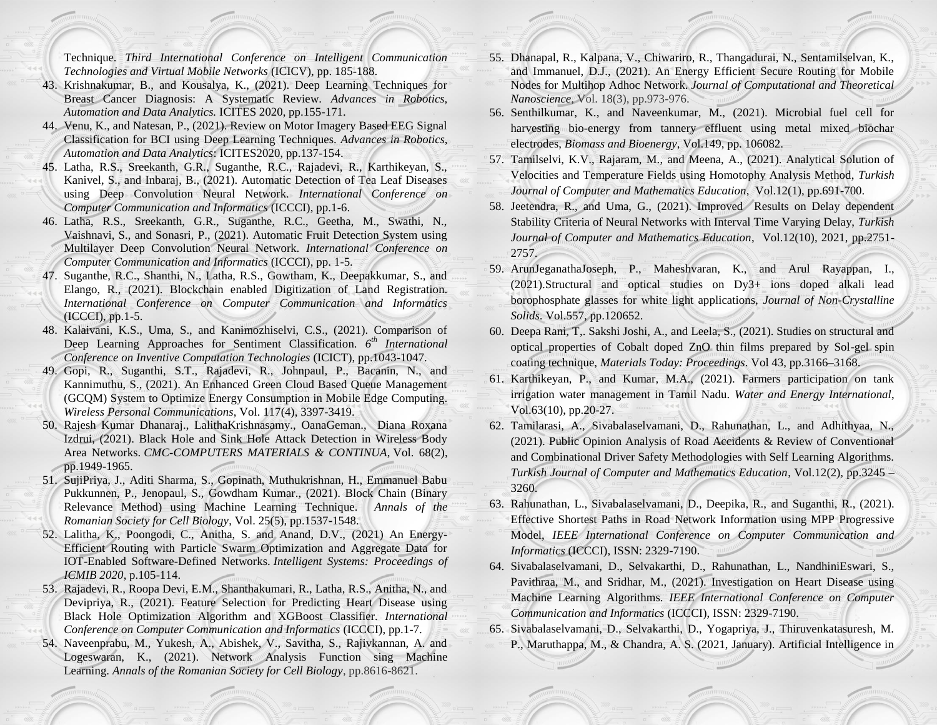Technique. *Third International Conference on Intelligent Communication Technologies and Virtual Mobile Networks* (ICICV), pp. 185-188.

- 43. Krishnakumar, B., and Kousalya, K., (2021). Deep Learning Techniques for Breast Cancer Diagnosis: A Systematic Review. *Advances in Robotics, Automation and Data Analytics.* ICITES 2020, pp.155-171.
- 44. Venu, K., and Natesan, P., (2021). Review on Motor Imagery Based EEG Signal Classification for BCI using Deep Learning Techniques. *Advances in Robotics, Automation and Data Analytics*: ICITES2020, pp.137-154.
- 45. Latha, R.S., Sreekanth, G.R., Suganthe, R.C., Rajadevi, R., Karthikeyan, S., Kanivel, S., and Inbaraj, B., (2021). Automatic Detection of Tea Leaf Diseases using Deep Convolution Neural Network. *International Conference on Computer Communication and Informatics* (ICCCI), pp.1-6.
- 46. Latha, R.S., Sreekanth, G.R., Suganthe, R.C., Geetha, M., Swathi, N., Vaishnavi, S., and Sonasri, P., (2021). Automatic Fruit Detection System using Multilayer Deep Convolution Neural Network. *International Conference on Computer Communication and Informatics* (ICCCI), pp. 1-5.
- 47. Suganthe, R.C., Shanthi, N., Latha, R.S., Gowtham, K., Deepakkumar, S., and Elango, R., (2021). Blockchain enabled Digitization of Land Registration. *International Conference on Computer Communication and Informatics* (ICCCI), pp.1-5.
- 48. Kalaivani, K.S., Uma, S., and Kanimozhiselvi, C.S., (2021). Comparison of Deep Learning Approaches for Sentiment Classification. *6 th International Conference on Inventive Computation Technologies* (ICICT), pp.1043-1047.
- 49. Gopi, R., Suganthi, S.T., Rajadevi, R., Johnpaul, P., Bacanin, N., and Kannimuthu, S., (2021). An Enhanced Green Cloud Based Queue Management (GCQM) System to Optimize Energy Consumption in Mobile Edge Computing. *Wireless Personal Communications*, Vol. 117(4), 3397-3419.
- 50. Rajesh Kumar Dhanaraj., LalithaKrishnasamy., OanaGeman., Diana Roxana Izdrui, (2021). Black Hole and Sink Hole Attack Detection in Wireless Body Area Networks. *CMC-COMPUTERS MATERIALS & CONTINUA*, Vol. 68(2), pp.1949-1965.
- 51. SujiPriya, J., Aditi Sharma, S., Gopinath, Muthukrishnan, H., Emmanuel Babu Pukkunnen, P., Jenopaul, S., Gowdham Kumar., (2021). Block Chain (Binary Relevance Method) using Machine Learning Technique. *Annals of the Romanian Society for Cell Biology*, Vol. 25(5), pp.1537-1548.
- 52. Lalitha, K., Poongodi, C., Anitha, S. and Anand, D.V., (2021) An Energy-Efficient Routing with Particle Swarm Optimization and Aggregate Data for IOT-Enabled Software-Defined Networks. *Intelligent Systems: Proceedings of ICMIB 2020*, p.105-114.
- 53. Rajadevi, R., Roopa Devi, E.M., Shanthakumari, R., Latha, R.S., Anitha, N., and Devipriya, R., (2021). Feature Selection for Predicting Heart Disease using Black Hole Optimization Algorithm and XGBoost Classifier. *International Conference on Computer Communication and Informatics* (ICCCI), pp.1-7.
- 54. Naveenprabu, M., Yukesh, A., Abishek, V., Savitha, S., Rajivkannan, A. and Logeswaran, K., (2021). Network Analysis Function sing Machine Learning. *Annals of the Romanian Society for Cell Biology*, pp.8616-8621.
- 55. Dhanapal, R., Kalpana, V., Chiwariro, R., Thangadurai, N., Sentamilselvan, K., and Immanuel, D.J., (2021). An Energy Efficient Secure Routing for Mobile Nodes for Multihop Adhoc Network. *Journal of Computational and Theoretical Nanoscience*, Vol. 18(3), pp.973-976.
- 56. Senthilkumar, K., and Naveenkumar, M., (2021). Microbial fuel cell for harvesting bio-energy from tannery effluent using metal mixed biochar electrodes, *Biomass and Bioenergy*, Vol.149, pp. 106082.
- 57. Tamilselvi, K.V., Rajaram, M., and Meena, A., (2021). Analytical Solution of Velocities and Temperature Fields using Homotophy Analysis Method, *Turkish Journal of Computer and Mathematics Education*, Vol.12(1), pp.691-700.
- 58. Jeetendra, R., and Uma, G., (2021). Improved Results on Delay dependent Stability Criteria of Neural Networks with Interval Time Varying Delay, *Turkish Journal of Computer and Mathematics Education*, Vol.12(10), 2021, pp.2751- 2757.
- 59. ArunJeganathaJoseph, P., Maheshvaran, K., and Arul Rayappan, I., (2021).Structural and optical studies on Dy3+ ions doped alkali lead borophosphate glasses for white light applications, *Journal of Non-Crystalline Solids*. Vol.557, pp.120652.
- 60. Deepa Rani, T,. Sakshi Joshi, A., and Leela, S., (2021). Studies on structural and optical properties of Cobalt doped ZnO thin films prepared by Sol-gel spin coating technique, *Materials Today: Proceedings*. Vol 43, pp.3166–3168.
- 61. Karthikeyan, P., and Kumar, M.A., (2021). Farmers participation on tank irrigation water management in Tamil Nadu. *Water and Energy International*, Vol.63(10), pp.20-27.
- 62. Tamilarasi, A., Sivabalaselvamani, D., Rahunathan, L., and Adhithyaa, N., (2021). Public Opinion Analysis of Road Accidents & Review of Conventional and Combinational Driver Safety Methodologies with Self Learning Algorithms. *Turkish Journal of Computer and Mathematics Education*, Vol.12(2), pp.3245 – 3260.
- 63. Rahunathan, L., Sivabalaselvamani, D., Deepika, R., and Suganthi, R., (2021). Effective Shortest Paths in Road Network Information using MPP Progressive Model, *IEEE International Conference on Computer Communication and Informatics* (ICCCI), ISSN: 2329-7190.
- 64. Sivabalaselvamani, D., Selvakarthi, D., Rahunathan, L., NandhiniEswari, S., Pavithraa, M., and Sridhar, M., (2021). Investigation on Heart Disease using Machine Learning Algorithms. *IEEE International Conference on Computer Communication and Informatics* (ICCCI), ISSN: 2329-7190.
- 65. Sivabalaselvamani, D., Selvakarthi, D., Yogapriya, J., Thiruvenkatasuresh, M. P., Maruthappa, M., & Chandra, A. S. (2021, January). Artificial Intelligence in